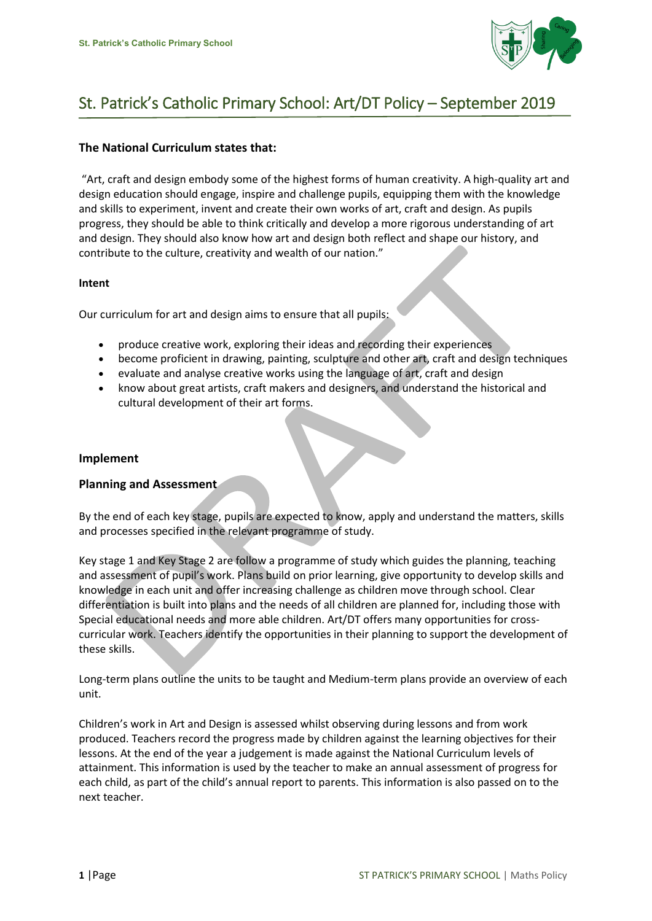

# St. Patrick's Catholic Primary School: Art/DT Policy – September 2019

# **The National Curriculum states that:**

"Art, craft and design embody some of the highest forms of human creativity. A high-quality art and design education should engage, inspire and challenge pupils, equipping them with the knowledge and skills to experiment, invent and create their own works of art, craft and design. As pupils progress, they should be able to think critically and develop a more rigorous understanding of art and design. They should also know how art and design both reflect and shape our history, and contribute to the culture, creativity and wealth of our nation."

#### **Intent**

Our curriculum for art and design aims to ensure that all pupils:

- produce creative work, exploring their ideas and recording their experiences
- become proficient in drawing, painting, sculpture and other art, craft and design techniques
- evaluate and analyse creative works using the language of art, craft and design
- know about great artists, craft makers and designers, and understand the historical and cultural development of their art forms.

## **Implement**

## **Planning and Assessment**

By the end of each key stage, pupils are expected to know, apply and understand the matters, skills and processes specified in the relevant programme of study.

Key stage 1 and Key Stage 2 are follow a programme of study which guides the planning, teaching and assessment of pupil's work. Plans build on prior learning, give opportunity to develop skills and knowledge in each unit and offer increasing challenge as children move through school. Clear differentiation is built into plans and the needs of all children are planned for, including those with Special educational needs and more able children. Art/DT offers many opportunities for crosscurricular work. Teachers identify the opportunities in their planning to support the development of these skills.

Long-term plans outline the units to be taught and Medium-term plans provide an overview of each unit.

Children's work in Art and Design is assessed whilst observing during lessons and from work produced. Teachers record the progress made by children against the learning objectives for their lessons. At the end of the year a judgement is made against the National Curriculum levels of attainment. This information is used by the teacher to make an annual assessment of progress for each child, as part of the child's annual report to parents. This information is also passed on to the next teacher.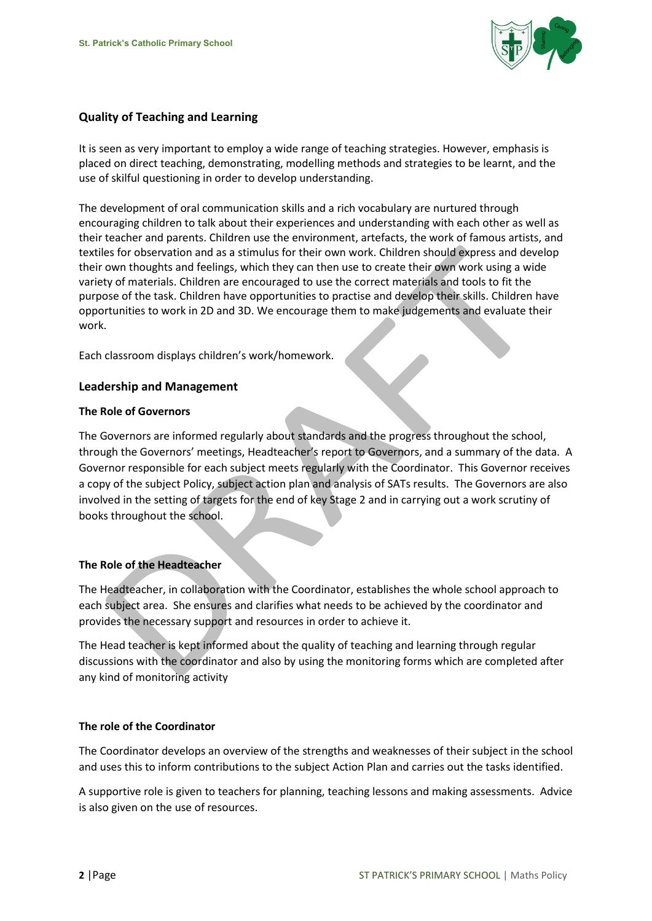

# **Quality of Teaching and Learning**

It is seen as very important to employ a wide range of teaching strategies. However, emphasis is placed on direct teaching, demonstrating, modelling methods and strategies to be learnt, and the use of skilful questioning in order to develop understanding.

The development of oral communication skills and a rich vocabulary are nurtured through encouraging children to talk about their experiences and understanding with each other as well as their teacher and parents. Children use the environment, artefacts, the work of famous artists, and textiles for observation and as a stimulus for their own work. Children should express and develop their own thoughts and feelings, which they can then use to create their own work using a wide variety of materials. Children are encouraged to use the correct materials and tools to fit the purpose of the task. Children have opportunities to practise and develop their skills. Children have opportunities to work in 2D and 3D. We encourage them to make judgements and evaluate their work.

Each classroom displays children's work/homework.

## **Leadership and Management**

#### **The Role of Governors**

The Governors are informed regularly about standards and the progress throughout the school, through the Governors' meetings, Headteacher's report to Governors, and a summary of the data. A Governor responsible for each subject meets regularly with the Coordinator. This Governor receives a copy of the subject Policy, subject action plan and analysis of SATs results. The Governors are also involved in the setting of targets for the end of key Stage 2 and in carrying out a work scrutiny of books throughout the school.

## **The Role of the Headteacher**

The Headteacher, in collaboration with the Coordinator, establishes the whole school approach to each subject area. She ensures and clarifies what needs to be achieved by the coordinator and provides the necessary support and resources in order to achieve it.

The Head teacher is kept informed about the quality of teaching and learning through regular discussions with the coordinator and also by using the monitoring forms which are completed after any kind of monitoring activity

## **The role of the Coordinator**

The Coordinator develops an overview of the strengths and weaknesses of their subject in the school and uses this to inform contributions to the subject Action Plan and carries out the tasks identified.

A supportive role is given to teachers for planning, teaching lessons and making assessments. Advice is also given on the use of resources.